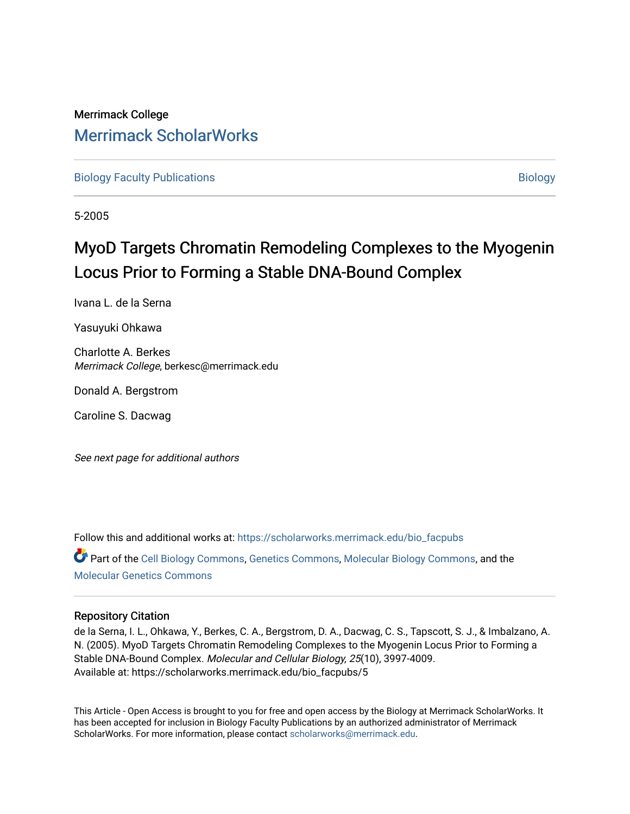## Merrimack College [Merrimack ScholarWorks](https://scholarworks.merrimack.edu/)

[Biology Faculty Publications](https://scholarworks.merrimack.edu/bio_facpubs) and the state of the state of the [Biology](https://scholarworks.merrimack.edu/bio) Biology

5-2005

## MyoD Targets Chromatin Remodeling Complexes to the Myogenin Locus Prior to Forming a Stable DNA-Bound Complex

Ivana L. de la Serna

Yasuyuki Ohkawa

Charlotte A. Berkes Merrimack College, berkesc@merrimack.edu

Donald A. Bergstrom

Caroline S. Dacwag

See next page for additional authors

Follow this and additional works at: [https://scholarworks.merrimack.edu/bio\\_facpubs](https://scholarworks.merrimack.edu/bio_facpubs?utm_source=scholarworks.merrimack.edu%2Fbio_facpubs%2F5&utm_medium=PDF&utm_campaign=PDFCoverPages) 

Part of the [Cell Biology Commons,](http://network.bepress.com/hgg/discipline/10?utm_source=scholarworks.merrimack.edu%2Fbio_facpubs%2F5&utm_medium=PDF&utm_campaign=PDFCoverPages) [Genetics Commons,](http://network.bepress.com/hgg/discipline/29?utm_source=scholarworks.merrimack.edu%2Fbio_facpubs%2F5&utm_medium=PDF&utm_campaign=PDFCoverPages) [Molecular Biology Commons](http://network.bepress.com/hgg/discipline/5?utm_source=scholarworks.merrimack.edu%2Fbio_facpubs%2F5&utm_medium=PDF&utm_campaign=PDFCoverPages), and the [Molecular Genetics Commons](http://network.bepress.com/hgg/discipline/31?utm_source=scholarworks.merrimack.edu%2Fbio_facpubs%2F5&utm_medium=PDF&utm_campaign=PDFCoverPages)

#### Repository Citation

de la Serna, I. L., Ohkawa, Y., Berkes, C. A., Bergstrom, D. A., Dacwag, C. S., Tapscott, S. J., & Imbalzano, A. N. (2005). MyoD Targets Chromatin Remodeling Complexes to the Myogenin Locus Prior to Forming a Stable DNA-Bound Complex. Molecular and Cellular Biology, 25(10), 3997-4009. Available at: https://scholarworks.merrimack.edu/bio\_facpubs/5

This Article - Open Access is brought to you for free and open access by the Biology at Merrimack ScholarWorks. It has been accepted for inclusion in Biology Faculty Publications by an authorized administrator of Merrimack ScholarWorks. For more information, please contact [scholarworks@merrimack.edu.](mailto:scholarworks@merrimack.edu)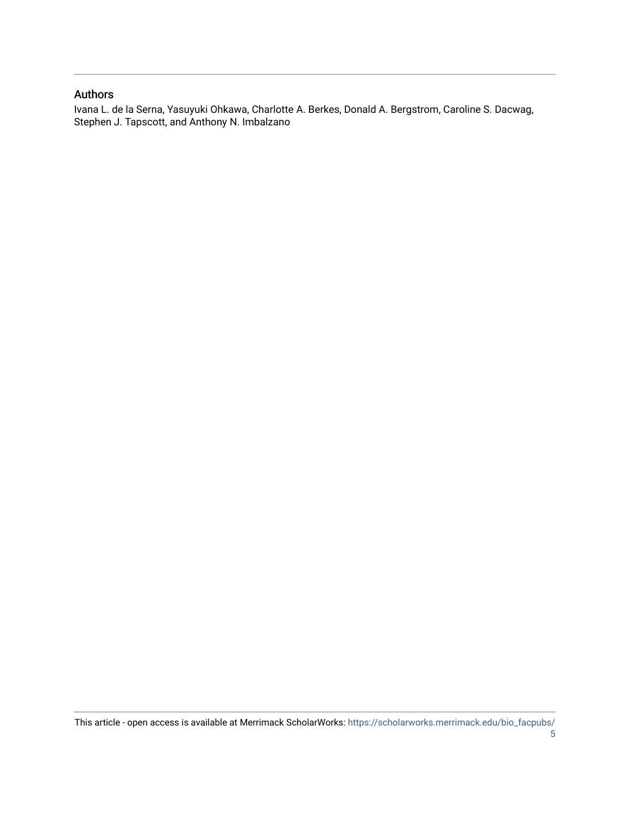#### Authors

Ivana L. de la Serna, Yasuyuki Ohkawa, Charlotte A. Berkes, Donald A. Bergstrom, Caroline S. Dacwag, Stephen J. Tapscott, and Anthony N. Imbalzano

This article - open access is available at Merrimack ScholarWorks: [https://scholarworks.merrimack.edu/bio\\_facpubs/](https://scholarworks.merrimack.edu/bio_facpubs/5) [5](https://scholarworks.merrimack.edu/bio_facpubs/5)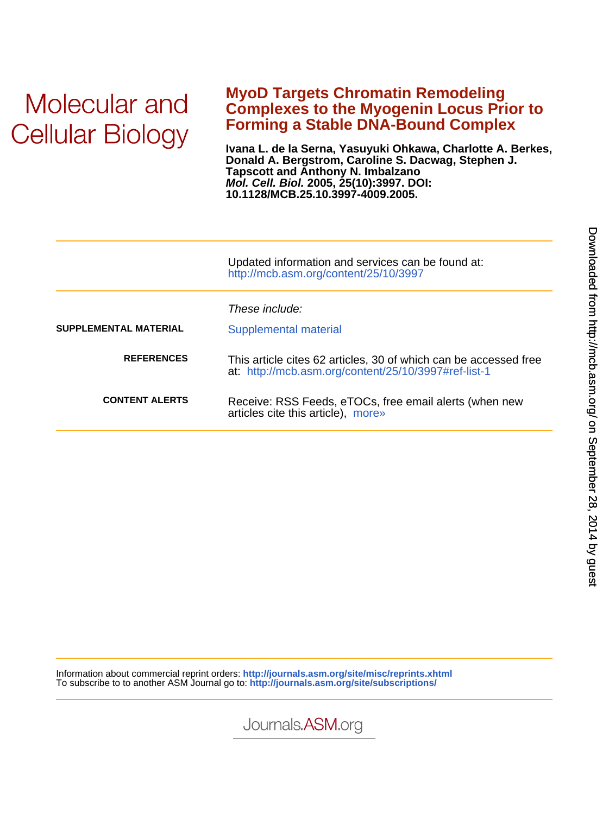# Molecular and **Cellular Biology**

### **Forming a Stable DNA-Bound Complex Complexes to the Myogenin Locus Prior to MyoD Targets Chromatin Remodeling**

**10.1128/MCB.25.10.3997-4009.2005. Mol. Cell. Biol. 2005, 25(10):3997. DOI: Tapscott and Anthony N. Imbalzano Donald A. Bergstrom, Caroline S. Dacwag, Stephen J. Ivana L. de la Serna, Yasuyuki Ohkawa, Charlotte A. Berkes,**

|                       | Updated information and services can be found at:<br>http://mcb.asm.org/content/25/10/3997                               |  |  |
|-----------------------|--------------------------------------------------------------------------------------------------------------------------|--|--|
| SUPPLEMENTAL MATERIAL | These include:<br>Supplemental material                                                                                  |  |  |
| <b>REFERENCES</b>     | This article cites 62 articles, 30 of which can be accessed free<br>at: http://mcb.asm.org/content/25/10/3997#ref-list-1 |  |  |
| <b>CONTENT ALERTS</b> | Receive: RSS Feeds, eTOCs, free email alerts (when new<br>articles cite this article), more»                             |  |  |
|                       |                                                                                                                          |  |  |

Information about commercial reprint orders: **<http://journals.asm.org/site/misc/reprints.xhtml>** To subscribe to to another ASM Journal go to: **<http://journals.asm.org/site/subscriptions/>**

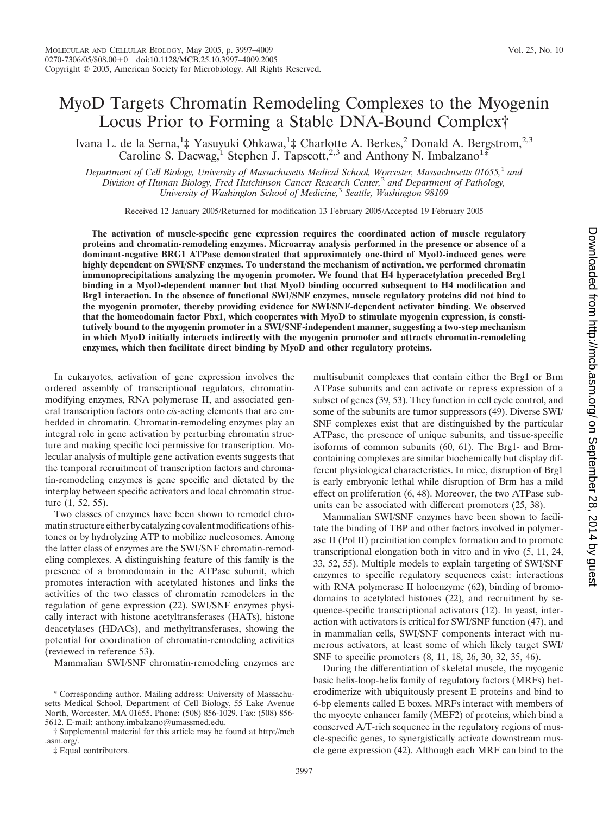## MyoD Targets Chromatin Remodeling Complexes to the Myogenin Locus Prior to Forming a Stable DNA-Bound Complex†

Ivana L. de la Serna,<sup>1</sup>‡ Yasuyuki Ohkawa,<sup>1</sup>‡ Charlotte A. Berkes,<sup>2</sup> Donald A. Bergstrom,<sup>2,3</sup> Caroline S. Dacwag,<sup>1</sup> Stephen J. Tapscott,<sup>2,3</sup> and Anthony N. Imbalzano<sup>1</sup>\*

*Department of Cell Biology, University of Massachusetts Medical School, Worcester, Massachusetts 01655,*<sup>1</sup> *and Division of Human Biology, Fred Hutchinson Cancer Research Center,*<sup>2</sup> *and Department of Pathology, University of Washington School of Medicine,*<sup>3</sup> *Seattle, Washington 98109*

Received 12 January 2005/Returned for modification 13 February 2005/Accepted 19 February 2005

**The activation of muscle-specific gene expression requires the coordinated action of muscle regulatory proteins and chromatin-remodeling enzymes. Microarray analysis performed in the presence or absence of a dominant-negative BRG1 ATPase demonstrated that approximately one-third of MyoD-induced genes were highly dependent on SWI/SNF enzymes. To understand the mechanism of activation, we performed chromatin immunoprecipitations analyzing the myogenin promoter. We found that H4 hyperacetylation preceded Brg1 binding in a MyoD-dependent manner but that MyoD binding occurred subsequent to H4 modification and Brg1 interaction. In the absence of functional SWI/SNF enzymes, muscle regulatory proteins did not bind to the myogenin promoter, thereby providing evidence for SWI/SNF-dependent activator binding. We observed that the homeodomain factor Pbx1, which cooperates with MyoD to stimulate myogenin expression, is constitutively bound to the myogenin promoter in a SWI/SNF-independent manner, suggesting a two-step mechanism in which MyoD initially interacts indirectly with the myogenin promoter and attracts chromatin-remodeling enzymes, which then facilitate direct binding by MyoD and other regulatory proteins.**

In eukaryotes, activation of gene expression involves the ordered assembly of transcriptional regulators, chromatinmodifying enzymes, RNA polymerase II, and associated general transcription factors onto *cis*-acting elements that are embedded in chromatin. Chromatin-remodeling enzymes play an integral role in gene activation by perturbing chromatin structure and making specific loci permissive for transcription. Molecular analysis of multiple gene activation events suggests that the temporal recruitment of transcription factors and chromatin-remodeling enzymes is gene specific and dictated by the interplay between specific activators and local chromatin structure (1, 52, 55).

Two classes of enzymes have been shown to remodel chromatin structure either by catalyzing covalent modifications of histones or by hydrolyzing ATP to mobilize nucleosomes. Among the latter class of enzymes are the SWI/SNF chromatin-remodeling complexes. A distinguishing feature of this family is the presence of a bromodomain in the ATPase subunit, which promotes interaction with acetylated histones and links the activities of the two classes of chromatin remodelers in the regulation of gene expression (22). SWI/SNF enzymes physically interact with histone acetyltransferases (HATs), histone deacetylases (HDACs), and methyltransferases, showing the potential for coordination of chromatin-remodeling activities (reviewed in reference 53).

Mammalian SWI/SNF chromatin-remodeling enzymes are

multisubunit complexes that contain either the Brg1 or Brm ATPase subunits and can activate or repress expression of a subset of genes (39, 53). They function in cell cycle control, and some of the subunits are tumor suppressors (49). Diverse SWI/ SNF complexes exist that are distinguished by the particular ATPase, the presence of unique subunits, and tissue-specific isoforms of common subunits (60, 61). The Brg1- and Brmcontaining complexes are similar biochemically but display different physiological characteristics. In mice, disruption of Brg1 is early embryonic lethal while disruption of Brm has a mild effect on proliferation (6, 48). Moreover, the two ATPase subunits can be associated with different promoters (25, 38).

Mammalian SWI/SNF enzymes have been shown to facilitate the binding of TBP and other factors involved in polymerase II (Pol II) preinitiation complex formation and to promote transcriptional elongation both in vitro and in vivo (5, 11, 24, 33, 52, 55). Multiple models to explain targeting of SWI/SNF enzymes to specific regulatory sequences exist: interactions with RNA polymerase II holoenzyme (62), binding of bromodomains to acetylated histones (22), and recruitment by sequence-specific transcriptional activators (12). In yeast, interaction with activators is critical for SWI/SNF function (47), and in mammalian cells, SWI/SNF components interact with numerous activators, at least some of which likely target SWI/ SNF to specific promoters (8, 11, 18, 26, 30, 32, 35, 46).

During the differentiation of skeletal muscle, the myogenic basic helix-loop-helix family of regulatory factors (MRFs) heterodimerize with ubiquitously present E proteins and bind to 6-bp elements called E boxes. MRFs interact with members of the myocyte enhancer family (MEF2) of proteins, which bind a conserved A/T-rich sequence in the regulatory regions of muscle-specific genes, to synergistically activate downstream muscle gene expression (42). Although each MRF can bind to the

<sup>\*</sup> Corresponding author. Mailing address: University of Massachusetts Medical School, Department of Cell Biology, 55 Lake Avenue North, Worcester, MA 01655. Phone: (508) 856-1029. Fax: (508) 856- 5612. E-mail: anthony.imbalzano@umassmed.edu.

<sup>†</sup> Supplemental material for this article may be found at http://mcb .asm.org/.

<sup>‡</sup> Equal contributors.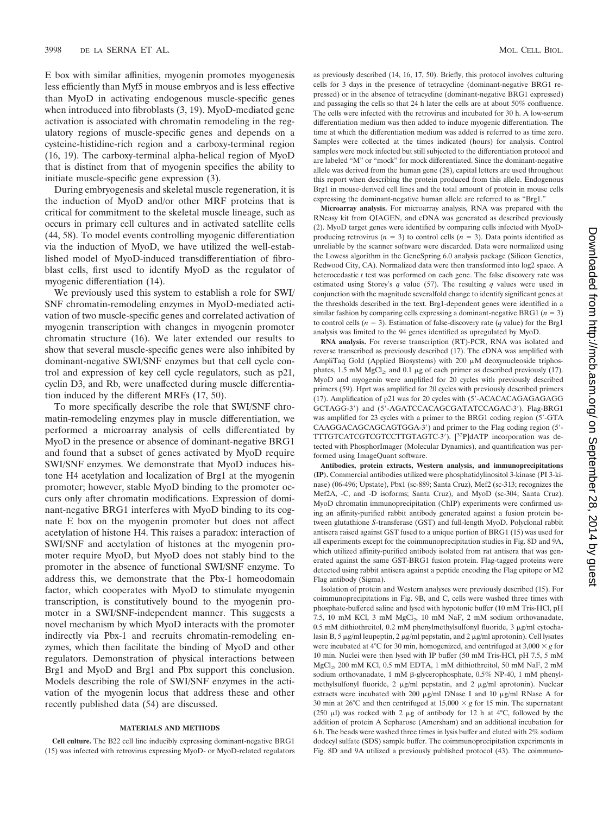E box with similar affinities, myogenin promotes myogenesis less efficiently than Myf5 in mouse embryos and is less effective than MyoD in activating endogenous muscle-specific genes when introduced into fibroblasts (3, 19). MyoD-mediated gene activation is associated with chromatin remodeling in the regulatory regions of muscle-specific genes and depends on a cysteine-histidine-rich region and a carboxy-terminal region (16, 19). The carboxy-terminal alpha-helical region of MyoD that is distinct from that of myogenin specifies the ability to initiate muscle-specific gene expression (3).

During embryogenesis and skeletal muscle regeneration, it is the induction of MyoD and/or other MRF proteins that is critical for commitment to the skeletal muscle lineage, such as occurs in primary cell cultures and in activated satellite cells (44, 58). To model events controlling myogenic differentiation via the induction of MyoD, we have utilized the well-established model of MyoD-induced transdifferentiation of fibroblast cells, first used to identify MyoD as the regulator of myogenic differentiation (14).

We previously used this system to establish a role for SWI/ SNF chromatin-remodeling enzymes in MyoD-mediated activation of two muscle-specific genes and correlated activation of myogenin transcription with changes in myogenin promoter chromatin structure (16). We later extended our results to show that several muscle-specific genes were also inhibited by dominant-negative SWI/SNF enzymes but that cell cycle control and expression of key cell cycle regulators, such as p21, cyclin D3, and Rb, were unaffected during muscle differentiation induced by the different MRFs (17, 50).

To more specifically describe the role that SWI/SNF chromatin-remodeling enzymes play in muscle differentiation, we performed a microarray analysis of cells differentiated by MyoD in the presence or absence of dominant-negative BRG1 and found that a subset of genes activated by MyoD require SWI/SNF enzymes. We demonstrate that MyoD induces histone H4 acetylation and localization of Brg1 at the myogenin promoter; however, stable MyoD binding to the promoter occurs only after chromatin modifications. Expression of dominant-negative BRG1 interferes with MyoD binding to its cognate E box on the myogenin promoter but does not affect acetylation of histone H4. This raises a paradox: interaction of SWI/SNF and acetylation of histones at the myogenin promoter require MyoD, but MyoD does not stably bind to the promoter in the absence of functional SWI/SNF enzyme. To address this, we demonstrate that the Pbx-1 homeodomain factor, which cooperates with MyoD to stimulate myogenin transcription, is constitutively bound to the myogenin promoter in a SWI/SNF-independent manner. This suggests a novel mechanism by which MyoD interacts with the promoter indirectly via Pbx-1 and recruits chromatin-remodeling enzymes, which then facilitate the binding of MyoD and other regulators. Demonstration of physical interactions between Brg1 and MyoD and Brg1 and Pbx support this conclusion. Models describing the role of SWI/SNF enzymes in the activation of the myogenin locus that address these and other recently published data (54) are discussed.

#### **MATERIALS AND METHODS**

**Cell culture.** The B22 cell line inducibly expressing dominant-negative BRG1 (15) was infected with retrovirus expressing MyoD- or MyoD-related regulators as previously described (14, 16, 17, 50). Briefly, this protocol involves culturing cells for 3 days in the presence of tetracycline (dominant-negative BRG1 repressed) or in the absence of tetracycline (dominant-negative BRG1 expressed) and passaging the cells so that 24 h later the cells are at about 50% confluence. The cells were infected with the retrovirus and incubated for 30 h. A low-serum differentiation medium was then added to induce myogenic differentiation. The time at which the differentiation medium was added is referred to as time zero. Samples were collected at the times indicated (hours) for analysis. Control samples were mock infected but still subjected to the differentiation protocol and are labeled "M" or "mock" for mock differentiated. Since the dominant-negative allele was derived from the human gene (28), capital letters are used throughout this report when describing the protein produced from this allele. Endogenous Brg1 in mouse-derived cell lines and the total amount of protein in mouse cells expressing the dominant-negative human allele are referred to as "Brg1."

**Microarray analysis.** For microarray analysis, RNA was prepared with the RNeasy kit from QIAGEN, and cDNA was generated as described previously (2). MyoD target genes were identified by comparing cells infected with MyoDproducing retrovirus ( $n = 3$ ) to control cells ( $n = 3$ ). Data points identified as unreliable by the scanner software were discarded. Data were normalized using the Lowess algorithm in the GeneSpring 6.0 analysis package (Silicon Genetics, Redwood City, CA). Normalized data were then transformed into log2 space. A heterocedastic *t* test was performed on each gene. The false discovery rate was estimated using Storey's *q* value (57). The resulting *q* values were used in conjunction with the magnitude severalfold change to identify significant genes at the thresholds described in the text. Brg1-dependent genes were identified in a similar fashion by comparing cells expressing a dominant-negative BRG1  $(n = 3)$ to control cells  $(n = 3)$ . Estimation of false-discovery rate  $(q$  value) for the Brg1 analysis was limited to the 94 genes identified as upregulated by MyoD.

**RNA analysis.** For reverse transcription (RT)-PCR, RNA was isolated and reverse transcribed as previously described (17). The cDNA was amplified with AmpliTaq Gold (Applied Biosystems) with  $200 \mu M$  deoxynucleoside triphosphates, 1.5 mM  $MgCl<sub>2</sub>$ , and 0.1 µg of each primer as described previously (17). MyoD and myogenin were amplified for 20 cycles with previously described primers (59). Hprt was amplified for 20 cycles with previously described primers (17). Amplification of p21 was for 20 cycles with (5-ACACACAGAGAGAGG GCTAGG-3) and (5-AGATCCACAGCGATATCCAGAC-3). Flag-BRG1 was amplified for 23 cycles with a primer to the BRG1 coding region (5-GTA CAAGGACAGCAGCAGTGGA-3) and primer to the Flag coding region (5- TTTGTCATCGTCGTCCTTGTAGTC-3'). [<sup>32</sup>P]dATP incorporation was detected with PhosphorImager (Molecular Dynamics), and quantification was performed using ImageQuant software.

**Antibodies, protein extracts, Western analysis, and immunoprecipitations (IP).** Commercial antibodies utilized were phosphatidylinositol 3-kinase (PI 3-kinase) (06-496; Upstate), Pbx1 (sc-889; Santa Cruz), Mef2 (sc-313; recognizes the Mef2A, -C, and -D isoforms; Santa Cruz), and MyoD (sc-304; Santa Cruz). MyoD chromatin immunoprecipitation (ChIP) experiments were confirmed using an affinity-purified rabbit antibody generated against a fusion protein between glutathione *S*-transferase (GST) and full-length MyoD. Polyclonal rabbit antisera raised against GST fused to a unique portion of BRG1 (15) was used for all experiments except for the coimmunoprecipitation studies in Fig. 8D and 9A, which utilized affinity-purified antibody isolated from rat antisera that was generated against the same GST-BRG1 fusion protein. Flag-tagged proteins were detected using rabbit antisera against a peptide encoding the Flag epitope or M2 Flag antibody (Sigma).

Isolation of protein and Western analyses were previously described (15). For coimmunoprecipitations in Fig. 9B, and C, cells were washed three times with phosphate-buffered saline and lysed with hypotonic buffer (10 mM Tris-HCl, pH 7.5, 10 mM KCl, 3 mM MgCl<sub>2</sub>, 10 mM NaF, 2 mM sodium orthovanadate, 0.5 mM dithiothreitol, 0.2 mM phenylmethylsulfonyl fluoride, 3  $\mu$ g/ml cytochalasin B, 5  $\mu$ g/ml leupeptin, 2  $\mu$ g/ml pepstatin, and 2  $\mu$ g/ml aprotonin). Cell lysates were incubated at 4<sup>o</sup>C for 30 min, homogenized, and centrifuged at  $3,000 \times g$  for 10 min. Nuclei were then lysed with IP buffer (50 mM Tris-HCl, pH 7.5, 5 mM MgCl<sub>2</sub>, 200 mM KCl, 0.5 mM EDTA, 1 mM dithiothreitol, 50 mM NaF, 2 mM sodium orthovanadate, 1 mM  $\beta$ -glycerophosphate, 0.5% NP-40, 1 mM phenylmethylsulfonyl fluoride, 2  $\mu$ g/ml pepstatin, and 2  $\mu$ g/ml aprotonin). Nuclear extracts were incubated with 200  $\mu$ g/ml DNase I and 10  $\mu$ g/ml RNase A for 30 min at 26°C and then centrifuged at  $15,000 \times g$  for 15 min. The supernatant (250  $\mu$ I) was rocked with 2  $\mu$ g of antibody for 12 h at 4°C, followed by the addition of protein A Sepharose (Amersham) and an additional incubation for 6 h. The beads were washed three times in lysis buffer and eluted with 2% sodium dodecyl sulfate (SDS) sample buffer. The coimmunoprecipitation experiments in Fig. 8D and 9A utilized a previously published protocol (43). The coimmuno-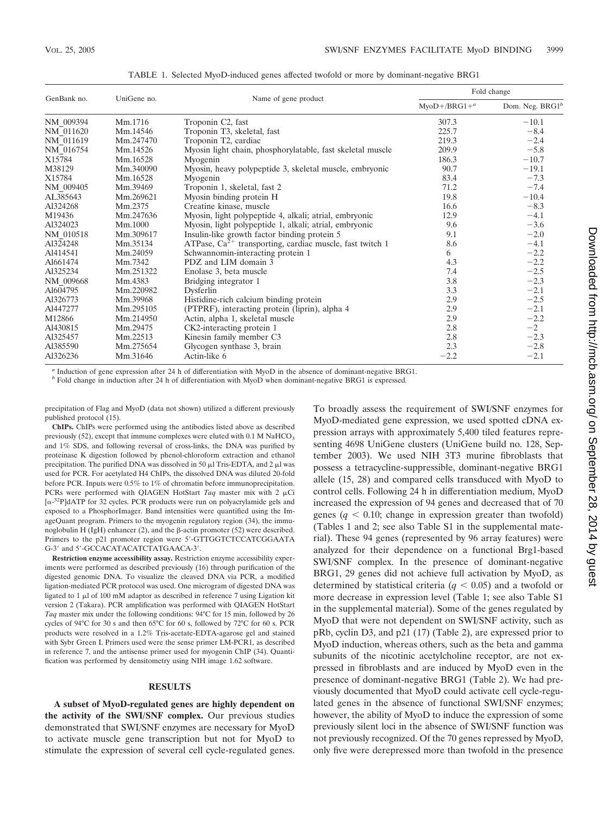| GenBank no. | UniGene no. | Name of gene product                                          | Fold change                     |                   |
|-------------|-------------|---------------------------------------------------------------|---------------------------------|-------------------|
|             |             |                                                               | $M$ yo $D+$ /BRG1+ <sup>a</sup> | Dom. Neg. $BRG1b$ |
| NM 009394   | Mm.1716     | Troponin C2, fast                                             | 307.3                           | $-10.1$           |
| NM 011620   | Mm.14546    | Troponin T3, skeletal, fast                                   | 225.7                           | $-8.4$            |
| NM 011619   | Mm.247470   | Troponin T2, cardiac                                          | 219.3                           | $-2.4$            |
| NM 016754   | Mm.14526    | Myosin light chain, phosphorylatable, fast skeletal muscle    | 209.9                           | $-5.8$            |
| X15784      | Mm.16528    | Myogenin                                                      | 186.3                           | $-10.7$           |
| M38129      | Mm.340090   | Myosin, heavy polypeptide 3, skeletal muscle, embryonic       | 90.7                            | $-19.1$           |
| X15784      | Mm.16528    | Myogenin                                                      | 83.4                            | $-7.3$            |
| NM 009405   | Mm.39469    | Troponin 1, skeletal, fast 2                                  | 71.2                            | $-7.4$            |
| AL385643    | Mm.269621   | Myosin binding protein H                                      | 19.8                            | $-10.4$           |
| Al324268    | Mm.2375     | Creatine kinase, muscle                                       | 16.6                            | $-8.3$            |
| M19436      | Mm.247636   | Myosin, light polypeptide 4, alkali; atrial, embryonic        | 12.9                            | $-4.1$            |
| Al324023    | Mm.1000     | Myosin, light polypeptide 1, alkali; atrial, embryonic        | 9.6                             | $-3.6$            |
| NM 010518   | Mm.309617   | Insulin-like growth factor binding protein 5                  | 9.1                             | $-2.0$            |
| Al324248    | Mm.35134    | ATPase, $Ca^{2+}$ transporting, cardiac muscle, fast twitch 1 | 8.6                             | $-4.1$            |
| Al414541    | Mm.24059    | Schwannomin-interacting protein 1                             | 6                               | $-2.2$            |
| Al661474    | Mm.7342     | PDZ and LIM domain 3                                          | 4.3                             | $-2.2$            |
| Al325234    | Mm.251322   | Enolase 3, beta muscle                                        | 7.4                             | $-2.5$            |
| NM 009668   | Mm.4383     | Bridging integrator 1                                         | 3.8                             | $-2.3$            |
| Al604795    | Mm.220982   | Dysferlin                                                     | 3.3                             | $-2.1$            |
| Al326773    | Mm.39968    | Histidine-rich calcium binding protein                        | 2.9                             | $-2.5$            |
| Al447277    | Mm.295105   | (PTPRF), interacting protein (liprin), alpha 4                | 2.9                             | $-2.1$            |
| M12866      | Mm.214950   | Actin, alpha 1, skeletal muscle                               | 2.9                             | $-2.2$            |
| Al430815    | Mm.29475    | CK2-interacting protein 1                                     | 2.8                             | $-2$              |
| Al325457    | Mm.22513    | Kinesin family member C3                                      | 2.8                             | $-2.3$            |
| Al385590    | Mm.275654   | Glycogen synthase 3, brain                                    | 2.3                             | $-2.8$            |
| Al326236    | Mm.31646    | Actin-like 6                                                  | $-2.2$                          | $-2.1$            |

TABLE 1. Selected MyoD-induced genes affected twofold or more by dominant-negative BRG1

*<sup>a</sup>* Induction of gene expression after 24 h of differentiation with MyoD in the absence of dominant-negative BRG1.

*<sup>b</sup>* Fold change in induction after 24 h of differentiation with MyoD when dominant-negative BRG1 is expressed.

precipitation of Flag and MyoD (data not shown) utilized a different previously published protocol (15).

**ChIPs.** ChIPs were performed using the antibodies listed above as described previously (52), except that immune complexes were eluted with  $0.1 M N a HCO<sub>3</sub>$ and 1% SDS, and following reversal of cross-links, the DNA was purified by proteinase K digestion followed by phenol-chloroform extraction and ethanol precipitation. The purified DNA was dissolved in 50  $\mu$ l Tris-EDTA, and 2  $\mu$ l was used for PCR. For acetylated H4 ChIPs, the dissolved DNA was diluted 20-fold before PCR. Inputs were 0.5% to 1% of chromatin before immunoprecipitation. PCRs were performed with QIAGEN HotStart *Taq* master mix with 2  $\mu$ Ci [ $\alpha$ -<sup>32</sup>P]dATP for 32 cycles. PCR products were run on polyacrylamide gels and exposed to a PhosphorImager. Band intensities were quantified using the ImageQuant program. Primers to the myogenin regulatory region (34), the immunoglobulin H (IgH) enhancer (2), and the  $\beta$ -actin promoter (52) were described. Primers to the p21 promoter region were 5'-GTTGGTCTCCATCGGAATA G-3' and 5'-GCCACATACATCTATGAACA-3'.

**Restriction enzyme accessibility assay.** Restriction enzyme accessibility experiments were performed as described previously (16) through purification of the digested genomic DNA. To visualize the cleaved DNA via PCR, a modified ligation-mediated PCR protocol was used. One microgram of digested DNA was ligated to  $1 \mu$ l of 100 mM adaptor as described in reference 7 using Ligation kit version 2 (Takara). PCR amplification was performed with QIAGEN HotStart *Taq* master mix under the following conditions: 94°C for 15 min, followed by 26 cycles of 94°C for 30 s and then 65°C for 60 s, followed by 72°C for 60 s. PCR products were resolved in a 1.2% Tris-acetate-EDTA-agarose gel and stained with Sybr Green I. Primers used were the sense primer LM-PCR1, as described in reference 7, and the antisense primer used for myogenin ChIP (34). Quantification was performed by densitometry using NIH image 1.62 software.

#### **RESULTS**

**A subset of MyoD-regulated genes are highly dependent on the activity of the SWI/SNF complex.** Our previous studies demonstrated that SWI/SNF enzymes are necessary for MyoD to activate muscle gene transcription but not for MyoD to stimulate the expression of several cell cycle-regulated genes.

To broadly assess the requirement of SWI/SNF enzymes for MyoD-mediated gene expression, we used spotted cDNA expression arrays with approximately 5,400 tiled features representing 4698 UniGene clusters (UniGene build no. 128, September 2003). We used NIH 3T3 murine fibroblasts that possess a tetracycline-suppressible, dominant-negative BRG1 allele (15, 28) and compared cells transduced with MyoD to control cells. Following 24 h in differentiation medium, MyoD increased the expression of 94 genes and decreased that of 70 genes  $(q < 0.10$ ; change in expression greater than twofold) (Tables 1 and 2; see also Table S1 in the supplemental material). These 94 genes (represented by 96 array features) were analyzed for their dependence on a functional Brg1-based SWI/SNF complex. In the presence of dominant-negative BRG1, 29 genes did not achieve full activation by MyoD, as determined by statistical criteria  $(q < 0.05)$  and a twofold or more decrease in expression level (Table 1; see also Table S1 in the supplemental material). Some of the genes regulated by MyoD that were not dependent on SWI/SNF activity, such as pRb, cyclin D3, and p21 (17) (Table 2), are expressed prior to MyoD induction, whereas others, such as the beta and gamma subunits of the nicotinic acetylcholine receptor, are not expressed in fibroblasts and are induced by MyoD even in the presence of dominant-negative BRG1 (Table 2). We had previously documented that MyoD could activate cell cycle-regulated genes in the absence of functional SWI/SNF enzymes; however, the ability of MyoD to induce the expression of some previously silent loci in the absence of SWI/SNF function was not previously recognized. Of the 70 genes repressed by MyoD, only five were derepressed more than twofold in the presence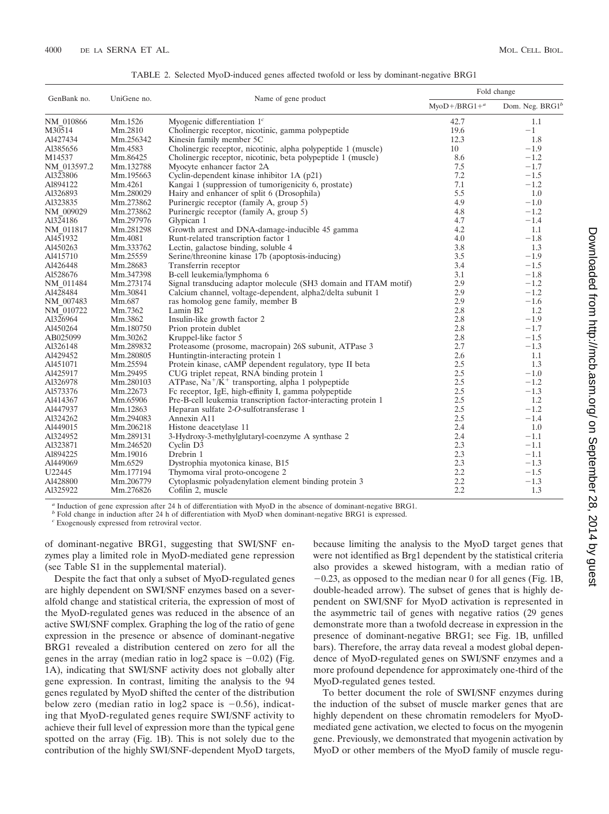| GenBank no. | UniGene no. | Name of gene product                                            | Fold change                     |                             |
|-------------|-------------|-----------------------------------------------------------------|---------------------------------|-----------------------------|
|             |             |                                                                 | $M$ vo $D+$ /BRG1+ <sup>a</sup> | Dom. Neg. BRG1 <sup>b</sup> |
| NM 010866   | Mm.1526     | Myogenic differentiation $1c$                                   | 42.7                            | 1.1                         |
| M30514      | Mm.2810     | Cholinergic receptor, nicotinic, gamma polypeptide              | 19.6                            | $-1$                        |
| Al427434    | Mm.256342   | Kinesin family member 5C                                        | 12.3                            | 1.8                         |
| Al385656    | Mm.4583     | Cholinergic receptor, nicotinic, alpha polypeptide 1 (muscle)   | 10                              | $-1.9$                      |
| M14537      | Mm.86425    | Cholinergic receptor, nicotinic, beta polypeptide 1 (muscle)    | 8.6                             | $-1.2$                      |
| NM 013597.2 | Mm.132788   | Myocyte enhancer factor 2A                                      | 7.5                             | $-1.7$                      |
| Al323806    | Mm.195663   | Cyclin-dependent kinase inhibitor 1A (p21)                      | 7.2                             | $-1.5$                      |
| Al894122    | Mm.4261     | Kangai 1 (suppression of tumorigenicity 6, prostate)            | 7.1                             | $-1.2$                      |
| Al326893    | Mm.280029   | Hairy and enhancer of split 6 (Drosophila)                      | 5.5                             | 1.0                         |
| Al323835    | Mm.273862   | Purinergic receptor (family A, group 5)                         | 4.9                             | $-1.0$                      |
| NM 009029   | Mm.273862   | Purinergic receptor (family A, group 5)                         | 4.8                             | $-1.2$                      |
| Al324186    | Mm.297976   | Glypican 1                                                      | 4.7                             | $-1.4$                      |
| NM 011817   | Mm.281298   | Growth arrest and DNA-damage-inducible 45 gamma                 | 4.2                             | 1.1                         |
| Al451932    | Mm.4081     | Runt-related transcription factor 1                             | 4.0                             | $-1.8$                      |
| Al450263    | Mm.333762   | Lectin, galactose binding, soluble 4                            | 3.8                             | 1.3                         |
| Al415710    | Mm.25559    | Serine/threonine kinase 17b (apoptosis-inducing)                | 3.5                             | $-1.9$                      |
| Al426448    | Mm.28683    | Transferrin receptor                                            | 3.4                             | $-1.5$                      |
| Al528676    | Mm.347398   | B-cell leukemia/lymphoma 6                                      | 3.1                             | $-1.8$                      |
| NM_011484   | Mm.273174   | Signal transducing adaptor molecule (SH3 domain and ITAM motif) | 2.9                             | $-1.2$                      |
| Al428484    | Mm.30841    | Calcium channel, voltage-dependent, alpha2/delta subunit 1      | 2.9                             | $-1.2$                      |
| NM 007483   | Mm.687      | ras homolog gene family, member B                               | 2.9                             | $-1.6$                      |
| NM 010722   | Mm.7362     | Lamin B2                                                        | 2.8                             | 1.2                         |
| Al326964    | Mm.3862     | Insulin-like growth factor 2                                    | 2.8                             | $-1.9$                      |
| Al450264    | Mm.180750   | Prion protein dublet                                            | 2.8                             | $-1.7$                      |
| AB025099    | Mm.30262    | Kruppel-like factor 5                                           | 2.8                             | $-1.5$                      |
| Al326148    | Mm.289832   | Proteasome (prosome, macropain) 26S subunit, ATPase 3           | 2.7                             | $-1.3$                      |
| Al429452    | Mm.280805   | Huntingtin-interacting protein 1                                | 2.6                             | 1.1                         |
| Al451071    | Mm.25594    | Protein kinase, cAMP dependent regulatory, type II beta         | 2.5                             | 1.3                         |
| Al425917    | Mm.29495    | CUG triplet repeat, RNA binding protein 1                       | 2.5                             | $-1.0$                      |
| Al326978    | Mm.280103   | ATPase, $Na^+/K^+$ transporting, alpha 1 polypeptide            | 2.5                             | $-1.2$                      |
| Al573376    | Mm.22673    | Fc receptor, IgE, high-effinity I, gamma polypeptide            | 2.5                             | $-1.3$                      |
| Al414367    | Mm.65906    | Pre-B-cell leukemia transcription factor-interacting protein 1  | 2.5                             | 1.2                         |
| Al447937    | Mm.12863    | Heparan sulfate 2-O-sulfotransferase 1                          | 2.5                             | $-1.2$                      |
| Al324262    | Mm.294083   | Annexin A11                                                     | 2.5                             | $-1.4$                      |
| Al449015    | Mm.206218   | Histone deacetylase 11                                          | 2.4                             | 1.0                         |
| Al324952    | Mm.289131   | 3-Hydroxy-3-methylglutaryl-coenzyme A synthase 2                | 2.4                             | $-1.1$                      |
| Al323871    | Mm.246520   | Cyclin D3                                                       | 2.3                             | $-1.1$                      |
| Al894225    | Mm.19016    | Drebrin 1                                                       | 2.3                             | $-1.1$                      |
| Al449069    | Mm.6529     | Dystrophia myotonica kinase, B15                                | 2.3                             | $-1.3$                      |
| U22445      | Mm.177194   | Thymoma viral proto-oncogene 2                                  | 2.2                             | $-1.5$                      |
| Al428800    | Mm.206779   | Cytoplasmic polyadenylation element binding protein 3           | 2.2                             | $-1.3$                      |
| Al325922    | Mm.276826   | Cofilin 2, muscle                                               | 2.2                             | 1.3                         |

TABLE 2. Selected MyoD-induced genes affected twofold or less by dominant-negative BRG1

*<sup>a</sup>* Induction of gene expression after 24 h of differentiation with MyoD in the absence of dominant-negative BRG1.

*b* Fold change in induction after 24 h of differentiation with MyoD when dominant-negative BRG1 is expressed.

*<sup>c</sup>* Exogenously expressed from retroviral vector.

of dominant-negative BRG1, suggesting that SWI/SNF enzymes play a limited role in MyoD-mediated gene repression (see Table S1 in the supplemental material).

Despite the fact that only a subset of MyoD-regulated genes are highly dependent on SWI/SNF enzymes based on a severalfold change and statistical criteria, the expression of most of the MyoD-regulated genes was reduced in the absence of an active SWI/SNF complex. Graphing the log of the ratio of gene expression in the presence or absence of dominant-negative BRG1 revealed a distribution centered on zero for all the genes in the array (median ratio in log2 space is  $-0.02$ ) (Fig. 1A), indicating that SWI/SNF activity does not globally alter gene expression. In contrast, limiting the analysis to the 94 genes regulated by MyoD shifted the center of the distribution below zero (median ratio in log2 space is  $-0.56$ ), indicating that MyoD-regulated genes require SWI/SNF activity to achieve their full level of expression more than the typical gene spotted on the array (Fig. 1B). This is not solely due to the contribution of the highly SWI/SNF-dependent MyoD targets,

because limiting the analysis to the MyoD target genes that were not identified as Brg1 dependent by the statistical criteria also provides a skewed histogram, with a median ratio of  $-0.23$ , as opposed to the median near 0 for all genes (Fig. 1B, double-headed arrow). The subset of genes that is highly dependent on SWI/SNF for MyoD activation is represented in the asymmetric tail of genes with negative ratios (29 genes demonstrate more than a twofold decrease in expression in the presence of dominant-negative BRG1; see Fig. 1B, unfilled bars). Therefore, the array data reveal a modest global dependence of MyoD-regulated genes on SWI/SNF enzymes and a more profound dependence for approximately one-third of the MyoD-regulated genes tested.

To better document the role of SWI/SNF enzymes during the induction of the subset of muscle marker genes that are highly dependent on these chromatin remodelers for MyoDmediated gene activation, we elected to focus on the myogenin gene. Previously, we demonstrated that myogenin activation by MyoD or other members of the MyoD family of muscle regu-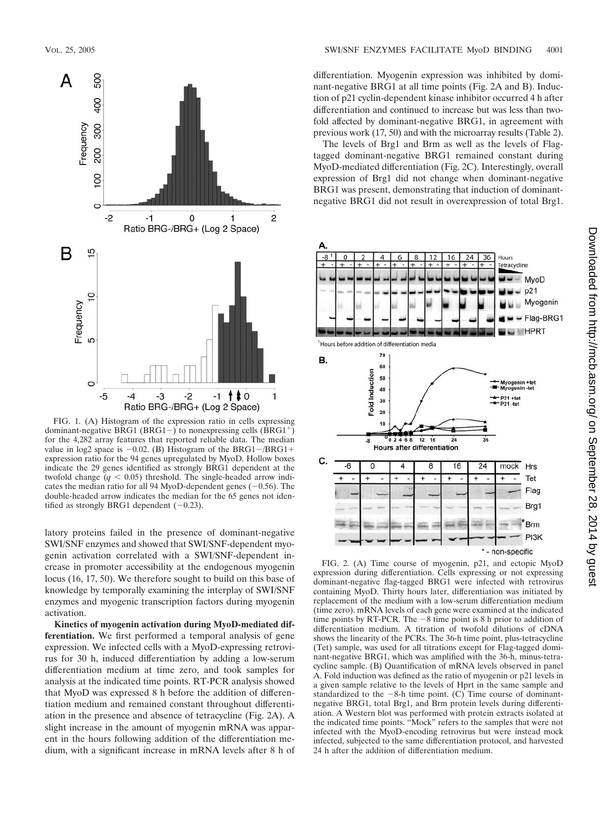

FIG. 1. (A) Histogram of the expression ratio in cells expressing dominant-negative BRG1 (BRG1-) to nonexpressing cells  $(BRG1<sup>+</sup>)$ for the 4,282 array features that reported reliable data. The median value in log2 space is  $-0.02$ . (B) Histogram of the BRG1 $-$ /BRG1+ expression ratio for the 94 genes upregulated by MyoD. Hollow boxes indicate the 29 genes identified as strongly BRG1 dependent at the twofold change  $(q < 0.05)$  threshold. The single-headed arrow indicates the median ratio for all 94 MyoD-dependent genes  $(-0.56)$ . The double-headed arrow indicates the median for the 65 genes not identified as strongly BRG1 dependent  $(-0.23)$ .

latory proteins failed in the presence of dominant-negative SWI/SNF enzymes and showed that SWI/SNF-dependent myogenin activation correlated with a SWI/SNF-dependent increase in promoter accessibility at the endogenous myogenin locus (16, 17, 50). We therefore sought to build on this base of knowledge by temporally examining the interplay of SWI/SNF enzymes and myogenic transcription factors during myogenin activation.

**Kinetics of myogenin activation during MyoD-mediated differentiation.** We first performed a temporal analysis of gene expression. We infected cells with a MyoD-expressing retrovirus for 30 h, induced differentiation by adding a low-serum differentiation medium at time zero, and took samples for analysis at the indicated time points. RT-PCR analysis showed that MyoD was expressed 8 h before the addition of differentiation medium and remained constant throughout differentiation in the presence and absence of tetracycline (Fig. 2A). A slight increase in the amount of myogenin mRNA was apparent in the hours following addition of the differentiation medium, with a significant increase in mRNA levels after 8 h of differentiation. Myogenin expression was inhibited by dominant-negative BRG1 at all time points (Fig. 2A and B). Induction of p21 cyclin-dependent kinase inhibitor occurred 4 h after differentiation and continued to increase but was less than twofold affected by dominant-negative BRG1, in agreement with previous work (17, 50) and with the microarray results (Table 2).

The levels of Brg1 and Brm as well as the levels of Flagtagged dominant-negative BRG1 remained constant during MyoD-mediated differentiation (Fig. 2C). Interestingly, overall expression of Brg1 did not change when dominant-negative BRG1 was present, demonstrating that induction of dominantnegative BRG1 did not result in overexpression of total Brg1.



FIG. 2. (A) Time course of myogenin, p21, and ectopic MyoD expression during differentiation. Cells expressing or not expressing dominant-negative flag-tagged BRG1 were infected with retrovirus containing MyoD. Thirty hours later, differentiation was initiated by replacement of the medium with a low-serum differentiation medium (time zero). mRNA levels of each gene were examined at the indicated time points by RT-PCR. The  $-8$  time point is 8 h prior to addition of differentiation medium. A titration of twofold dilutions of cDNA shows the linearity of the PCRs. The 36-h time point, plus-tetracycline (Tet) sample, was used for all titrations except for Flag-tagged dominant-negative BRG1, which was amplified with the 36-h, minus-tetracycline sample. (B) Quantification of mRNA levels observed in panel A. Fold induction was defined as the ratio of myogenin or p21 levels in a given sample relative to the levels of Hprt in the same sample and standardized to the  $-8$ -h time point. (C) Time course of dominantnegative BRG1, total Brg1, and Brm protein levels during differentiation. A Western blot was performed with protein extracts isolated at the indicated time points. "Mock" refers to the samples that were not infected with the MyoD-encoding retrovirus but were instead mock infected, subjected to the same differentiation protocol, and harvested 24 h after the addition of differentiation medium.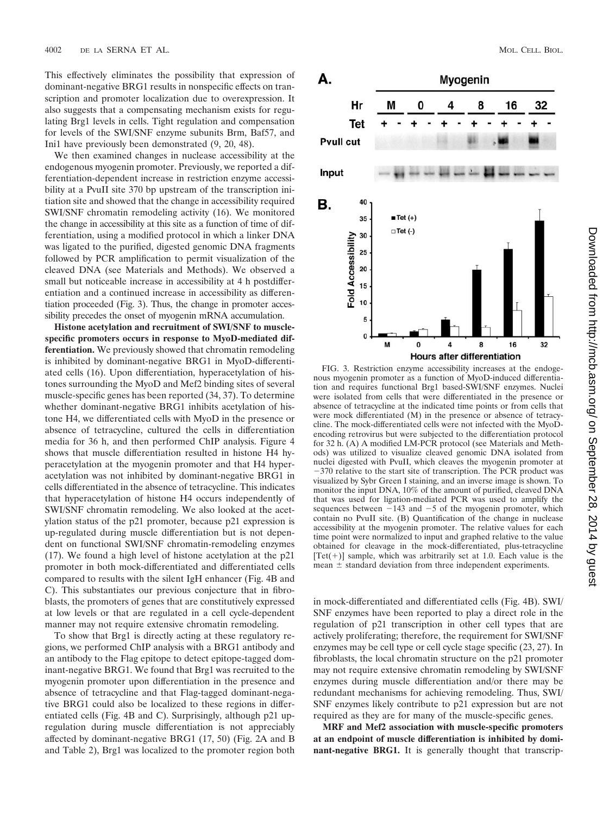This effectively eliminates the possibility that expression of dominant-negative BRG1 results in nonspecific effects on transcription and promoter localization due to overexpression. It also suggests that a compensating mechanism exists for regulating Brg1 levels in cells. Tight regulation and compensation for levels of the SWI/SNF enzyme subunits Brm, Baf57, and Ini1 have previously been demonstrated (9, 20, 48).

We then examined changes in nuclease accessibility at the endogenous myogenin promoter. Previously, we reported a differentiation-dependent increase in restriction enzyme accessibility at a PvuII site 370 bp upstream of the transcription initiation site and showed that the change in accessibility required SWI/SNF chromatin remodeling activity (16). We monitored the change in accessibility at this site as a function of time of differentiation, using a modified protocol in which a linker DNA was ligated to the purified, digested genomic DNA fragments followed by PCR amplification to permit visualization of the cleaved DNA (see Materials and Methods). We observed a small but noticeable increase in accessibility at 4 h postdifferentiation and a continued increase in accessibility as differentiation proceeded (Fig. 3). Thus, the change in promoter accessibility precedes the onset of myogenin mRNA accumulation.

**Histone acetylation and recruitment of SWI/SNF to musclespecific promoters occurs in response to MyoD-mediated differentiation.** We previously showed that chromatin remodeling is inhibited by dominant-negative BRG1 in MyoD-differentiated cells (16). Upon differentiation, hyperacetylation of histones surrounding the MyoD and Mef2 binding sites of several muscle-specific genes has been reported (34, 37). To determine whether dominant-negative BRG1 inhibits acetylation of histone H4, we differentiated cells with MyoD in the presence or absence of tetracycline, cultured the cells in differentiation media for 36 h, and then performed ChIP analysis. Figure 4 shows that muscle differentiation resulted in histone H4 hyperacetylation at the myogenin promoter and that H4 hyperacetylation was not inhibited by dominant-negative BRG1 in cells differentiated in the absence of tetracycline. This indicates that hyperacetylation of histone H4 occurs independently of SWI/SNF chromatin remodeling. We also looked at the acetylation status of the p21 promoter, because p21 expression is up-regulated during muscle differentiation but is not dependent on functional SWI/SNF chromatin-remodeling enzymes (17). We found a high level of histone acetylation at the p21 promoter in both mock-differentiated and differentiated cells compared to results with the silent IgH enhancer (Fig. 4B and C). This substantiates our previous conjecture that in fibroblasts, the promoters of genes that are constitutively expressed at low levels or that are regulated in a cell cycle-dependent manner may not require extensive chromatin remodeling.

To show that Brg1 is directly acting at these regulatory regions, we performed ChIP analysis with a BRG1 antibody and an antibody to the Flag epitope to detect epitope-tagged dominant-negative BRG1. We found that Brg1 was recruited to the myogenin promoter upon differentiation in the presence and absence of tetracycline and that Flag-tagged dominant-negative BRG1 could also be localized to these regions in differentiated cells (Fig. 4B and C). Surprisingly, although p21 upregulation during muscle differentiation is not appreciably affected by dominant-negative BRG1 (17, 50) (Fig. 2A and B and Table 2), Brg1 was localized to the promoter region both



FIG. 3. Restriction enzyme accessibility increases at the endogenous myogenin promoter as a function of MyoD-induced differentiation and requires functional Brg1 based-SWI/SNF enzymes. Nuclei were isolated from cells that were differentiated in the presence or absence of tetracycline at the indicated time points or from cells that were mock differentiated (M) in the presence or absence of tetracycline. The mock-differentiated cells were not infected with the MyoDencoding retrovirus but were subjected to the differentiation protocol for 32 h. (A) A modified LM-PCR protocol (see Materials and Methods) was utilized to visualize cleaved genomic DNA isolated from nuclei digested with PvuII, which cleaves the myogenin promoter at  $-370$  relative to the start site of transcription. The PCR product was visualized by Sybr Green I staining, and an inverse image is shown. To monitor the input DNA, 10% of the amount of purified, cleaved DNA that was used for ligation-mediated PCR was used to amplify the sequences between  $-143$  and  $-5$  of the myogenin promoter, which contain no PvuII site. (B) Quantification of the change in nuclease accessibility at the myogenin promoter. The relative values for each time point were normalized to input and graphed relative to the value obtained for cleavage in the mock-differentiated, plus-tetracycline  $[Tet(+)]$  sample, which was arbitrarily set at 1.0. Each value is the mean  $\pm$  standard deviation from three independent experiments.

in mock-differentiated and differentiated cells (Fig. 4B). SWI/ SNF enzymes have been reported to play a direct role in the regulation of p21 transcription in other cell types that are actively proliferating; therefore, the requirement for SWI/SNF enzymes may be cell type or cell cycle stage specific (23, 27). In fibroblasts, the local chromatin structure on the p21 promoter may not require extensive chromatin remodeling by SWI/SNF enzymes during muscle differentiation and/or there may be redundant mechanisms for achieving remodeling. Thus, SWI/ SNF enzymes likely contribute to p21 expression but are not required as they are for many of the muscle-specific genes.

**MRF and Mef2 association with muscle-specific promoters at an endpoint of muscle differentiation is inhibited by dominant-negative BRG1.** It is generally thought that transcrip-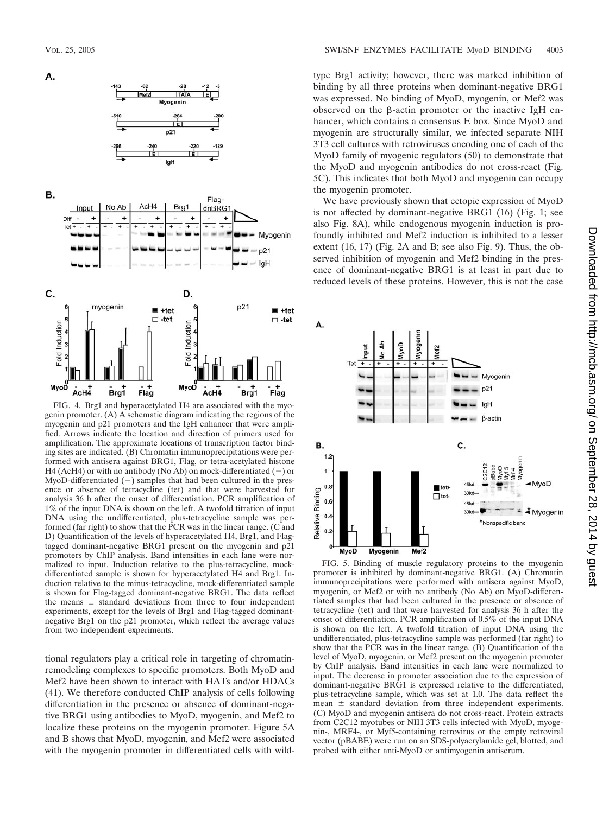

В.

А.



FIG. 4. Brg1 and hyperacetylated H4 are associated with the myogenin promoter. (A) A schematic diagram indicating the regions of the myogenin and p21 promoters and the IgH enhancer that were amplified. Arrows indicate the location and direction of primers used for amplification. The approximate locations of transcription factor binding sites are indicated. (B) Chromatin immunoprecipitations were performed with antisera against BRG1, Flag, or tetra-acetylated histone H4 (AcH4) or with no antibody (No Ab) on mock-differentiated  $(-)$  or MyoD-differentiated  $(+)$  samples that had been cultured in the presence or absence of tetracycline (tet) and that were harvested for analysis 36 h after the onset of differentiation. PCR amplification of 1% of the input DNA is shown on the left. A twofold titration of input DNA using the undifferentiated, plus-tetracycline sample was performed (far right) to show that the PCR was in the linear range. (C and D) Quantification of the levels of hyperacetylated H4, Brg1, and Flagtagged dominant-negative BRG1 present on the myogenin and p21 promoters by ChIP analysis. Band intensities in each lane were normalized to input. Induction relative to the plus-tetracycline, mockdifferentiated sample is shown for hyperacetylated H4 and Brg1. Induction relative to the minus-tetracycline, mock-differentiated sample is shown for Flag-tagged dominant-negative BRG1. The data reflect the means  $\pm$  standard deviations from three to four independent experiments, except for the levels of Brg1 and Flag-tagged dominantnegative Brg1 on the p21 promoter, which reflect the average values from two independent experiments.

tional regulators play a critical role in targeting of chromatinremodeling complexes to specific promoters. Both MyoD and Mef2 have been shown to interact with HATs and/or HDACs (41). We therefore conducted ChIP analysis of cells following differentiation in the presence or absence of dominant-negative BRG1 using antibodies to MyoD, myogenin, and Mef2 to localize these proteins on the myogenin promoter. Figure 5A and B shows that MyoD, myogenin, and Mef2 were associated with the myogenin promoter in differentiated cells with wildtype Brg1 activity; however, there was marked inhibition of binding by all three proteins when dominant-negative BRG1 was expressed. No binding of MyoD, myogenin, or Mef2 was observed on the  $\beta$ -actin promoter or the inactive IgH enhancer, which contains a consensus E box. Since MyoD and myogenin are structurally similar, we infected separate NIH 3T3 cell cultures with retroviruses encoding one of each of the MyoD family of myogenic regulators (50) to demonstrate that the MyoD and myogenin antibodies do not cross-react (Fig. 5C). This indicates that both MyoD and myogenin can occupy the myogenin promoter.

We have previously shown that ectopic expression of MyoD is not affected by dominant-negative BRG1 (16) (Fig. 1; see also Fig. 8A), while endogenous myogenin induction is profoundly inhibited and Mef2 induction is inhibited to a lesser extent (16, 17) (Fig. 2A and B; see also Fig. 9). Thus, the observed inhibition of myogenin and Mef2 binding in the presence of dominant-negative BRG1 is at least in part due to reduced levels of these proteins. However, this is not the case



FIG. 5. Binding of muscle regulatory proteins to the myogenin promoter is inhibited by dominant-negative BRG1. (A) Chromatin immunoprecipitations were performed with antisera against MyoD, myogenin, or Mef2 or with no antibody (No Ab) on MyoD-differentiated samples that had been cultured in the presence or absence of tetracycline (tet) and that were harvested for analysis 36 h after the onset of differentiation. PCR amplification of 0.5% of the input DNA is shown on the left. A twofold titration of input DNA using the undifferentiated, plus-tetracycline sample was performed (far right) to show that the PCR was in the linear range. (B) Quantification of the level of MyoD, myogenin, or Mef2 present on the myogenin promoter by ChIP analysis. Band intensities in each lane were normalized to input. The decrease in promoter association due to the expression of dominant-negative BRG1 is expressed relative to the differentiated, plus-tetracycline sample, which was set at 1.0. The data reflect the mean  $\pm$  standard deviation from three independent experiments. (C) MyoD and myogenin antisera do not cross-react. Protein extracts from C2C12 myotubes or NIH 3T3 cells infected with MyoD, myogenin-, MRF4-, or Myf5-containing retrovirus or the empty retroviral vector (pBABE) were run on an SDS-polyacrylamide gel, blotted, and probed with either anti-MyoD or antimyogenin antiserum.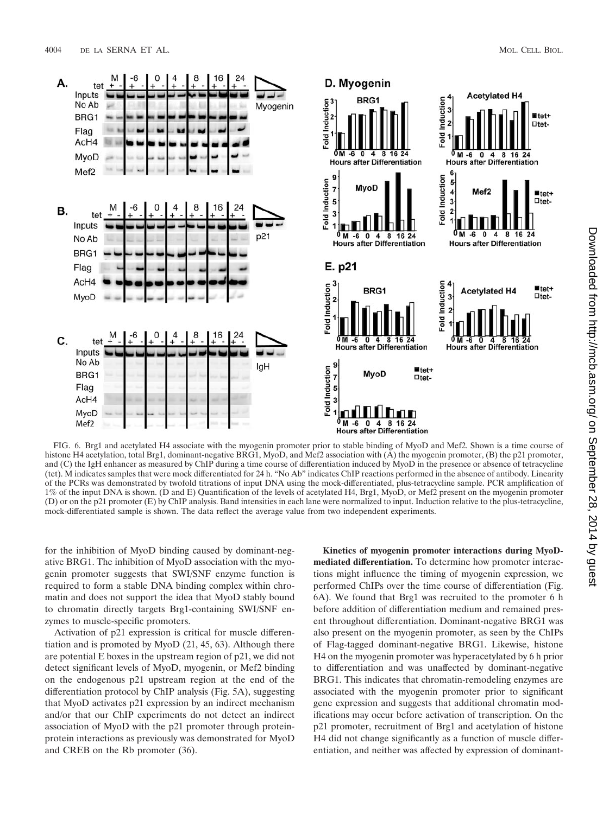

FIG. 6. Brg1 and acetylated H4 associate with the myogenin promoter prior to stable binding of MyoD and Mef2. Shown is a time course of histone H4 acetylation, total Brg1, dominant-negative BRG1, MyoD, and Mef2 association with (A) the myogenin promoter, (B) the p21 promoter, and (C) the IgH enhancer as measured by ChIP during a time course of differentiation induced by MyoD in the presence or absence of tetracycline (tet). M indicates samples that were mock differentiated for 24 h. "No Ab" indicates ChIP reactions performed in the absence of antibody. Linearity of the PCRs was demonstrated by twofold titrations of input DNA using the mock-differentiated, plus-tetracycline sample. PCR amplification of 1% of the input DNA is shown. (D and E) Quantification of the levels of acetylated H4, Brg1, MyoD, or Mef2 present on the myogenin promoter (D) or on the p21 promoter (E) by ChIP analysis. Band intensities in each lane were normalized to input. Induction relative to the plus-tetracycline, mock-differentiated sample is shown. The data reflect the average value from two independent experiments.

for the inhibition of MyoD binding caused by dominant-negative BRG1. The inhibition of MyoD association with the myogenin promoter suggests that SWI/SNF enzyme function is required to form a stable DNA binding complex within chromatin and does not support the idea that MyoD stably bound to chromatin directly targets Brg1-containing SWI/SNF enzymes to muscle-specific promoters.

Activation of p21 expression is critical for muscle differentiation and is promoted by MyoD (21, 45, 63). Although there are potential E boxes in the upstream region of p21, we did not detect significant levels of MyoD, myogenin, or Mef2 binding on the endogenous p21 upstream region at the end of the differentiation protocol by ChIP analysis (Fig. 5A), suggesting that MyoD activates p21 expression by an indirect mechanism and/or that our ChIP experiments do not detect an indirect association of MyoD with the p21 promoter through proteinprotein interactions as previously was demonstrated for MyoD and CREB on the Rb promoter (36).

**Kinetics of myogenin promoter interactions during MyoDmediated differentiation.** To determine how promoter interactions might influence the timing of myogenin expression, we performed ChIPs over the time course of differentiation (Fig. 6A). We found that Brg1 was recruited to the promoter 6 h before addition of differentiation medium and remained present throughout differentiation. Dominant-negative BRG1 was also present on the myogenin promoter, as seen by the ChIPs of Flag-tagged dominant-negative BRG1. Likewise, histone H4 on the myogenin promoter was hyperacetylated by 6 h prior to differentiation and was unaffected by dominant-negative BRG1. This indicates that chromatin-remodeling enzymes are associated with the myogenin promoter prior to significant gene expression and suggests that additional chromatin modifications may occur before activation of transcription. On the p21 promoter, recruitment of Brg1 and acetylation of histone H4 did not change significantly as a function of muscle differentiation, and neither was affected by expression of dominant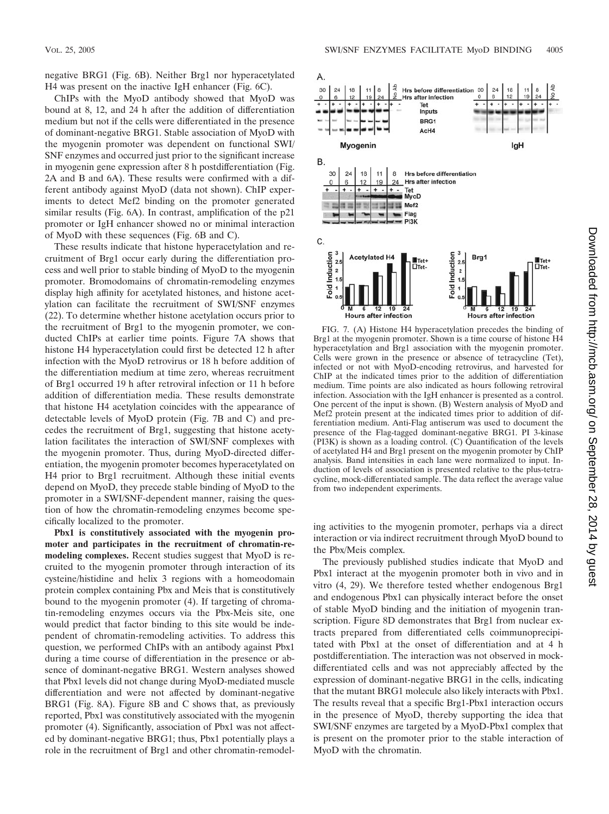negative BRG1 (Fig. 6B). Neither Brg1 nor hyperacetylated H4 was present on the inactive IgH enhancer (Fig. 6C).

ChIPs with the MyoD antibody showed that MyoD was bound at 8, 12, and 24 h after the addition of differentiation medium but not if the cells were differentiated in the presence of dominant-negative BRG1. Stable association of MyoD with the myogenin promoter was dependent on functional SWI/ SNF enzymes and occurred just prior to the significant increase in myogenin gene expression after 8 h postdifferentiation (Fig. 2A and B and 6A). These results were confirmed with a different antibody against MyoD (data not shown). ChIP experiments to detect Mef2 binding on the promoter generated similar results (Fig. 6A). In contrast, amplification of the p21 promoter or IgH enhancer showed no or minimal interaction of MyoD with these sequences (Fig. 6B and C).

These results indicate that histone hyperacetylation and recruitment of Brg1 occur early during the differentiation process and well prior to stable binding of MyoD to the myogenin promoter. Bromodomains of chromatin-remodeling enzymes display high affinity for acetylated histones, and histone acetylation can facilitate the recruitment of SWI/SNF enzymes (22). To determine whether histone acetylation occurs prior to the recruitment of Brg1 to the myogenin promoter, we conducted ChIPs at earlier time points. Figure 7A shows that histone H4 hyperacetylation could first be detected 12 h after infection with the MyoD retrovirus or 18 h before addition of the differentiation medium at time zero, whereas recruitment of Brg1 occurred 19 h after retroviral infection or 11 h before addition of differentiation media. These results demonstrate that histone H4 acetylation coincides with the appearance of detectable levels of MyoD protein (Fig. 7B and C) and precedes the recruitment of Brg1, suggesting that histone acetylation facilitates the interaction of SWI/SNF complexes with the myogenin promoter. Thus, during MyoD-directed differentiation, the myogenin promoter becomes hyperacetylated on H4 prior to Brg1 recruitment. Although these initial events depend on MyoD, they precede stable binding of MyoD to the promoter in a SWI/SNF-dependent manner, raising the question of how the chromatin-remodeling enzymes become specifically localized to the promoter.

**Pbx1 is constitutively associated with the myogenin promoter and participates in the recruitment of chromatin-remodeling complexes.** Recent studies suggest that MyoD is recruited to the myogenin promoter through interaction of its cysteine/histidine and helix 3 regions with a homeodomain protein complex containing Pbx and Meis that is constitutively bound to the myogenin promoter (4). If targeting of chromatin-remodeling enzymes occurs via the Pbx-Meis site, one would predict that factor binding to this site would be independent of chromatin-remodeling activities. To address this question, we performed ChIPs with an antibody against Pbx1 during a time course of differentiation in the presence or absence of dominant-negative BRG1. Western analyses showed that Pbx1 levels did not change during MyoD-mediated muscle differentiation and were not affected by dominant-negative BRG1 (Fig. 8A). Figure 8B and C shows that, as previously reported, Pbx1 was constitutively associated with the myogenin promoter (4). Significantly, association of Pbx1 was not affected by dominant-negative BRG1; thus, Pbx1 potentially plays a role in the recruitment of Brg1 and other chromatin-remodel-



FIG. 7. (A) Histone H4 hyperacetylation precedes the binding of Brg1 at the myogenin promoter. Shown is a time course of histone H4 hyperacetylation and Brg1 association with the myogenin promoter. Cells were grown in the presence or absence of tetracycline (Tet), infected or not with MyoD-encoding retrovirus, and harvested for ChIP at the indicated times prior to the addition of differentiation medium. Time points are also indicated as hours following retroviral infection. Association with the IgH enhancer is presented as a control. One percent of the input is shown. (B) Western analysis of MyoD and Mef2 protein present at the indicated times prior to addition of differentiation medium. Anti-Flag antiserum was used to document the presence of the Flag-tagged dominant-negative BRG1. PI 3-kinase (PI3K) is shown as a loading control. (C) Quantification of the levels of acetylated H4 and Brg1 present on the myogenin promoter by ChIP analysis. Band intensities in each lane were normalized to input. Induction of levels of association is presented relative to the plus-tetracycline, mock-differentiated sample. The data reflect the average value from two independent experiments.

ing activities to the myogenin promoter, perhaps via a direct interaction or via indirect recruitment through MyoD bound to the Pbx/Meis complex.

The previously published studies indicate that MyoD and Pbx1 interact at the myogenin promoter both in vivo and in vitro (4, 29). We therefore tested whether endogenous Brg1 and endogenous Pbx1 can physically interact before the onset of stable MyoD binding and the initiation of myogenin transcription. Figure 8D demonstrates that Brg1 from nuclear extracts prepared from differentiated cells coimmunoprecipitated with Pbx1 at the onset of differentiation and at 4 h postdifferentiation. The interaction was not observed in mockdifferentiated cells and was not appreciably affected by the expression of dominant-negative BRG1 in the cells, indicating that the mutant BRG1 molecule also likely interacts with Pbx1. The results reveal that a specific Brg1-Pbx1 interaction occurs in the presence of MyoD, thereby supporting the idea that SWI/SNF enzymes are targeted by a MyoD-Pbx1 complex that is present on the promoter prior to the stable interaction of MyoD with the chromatin.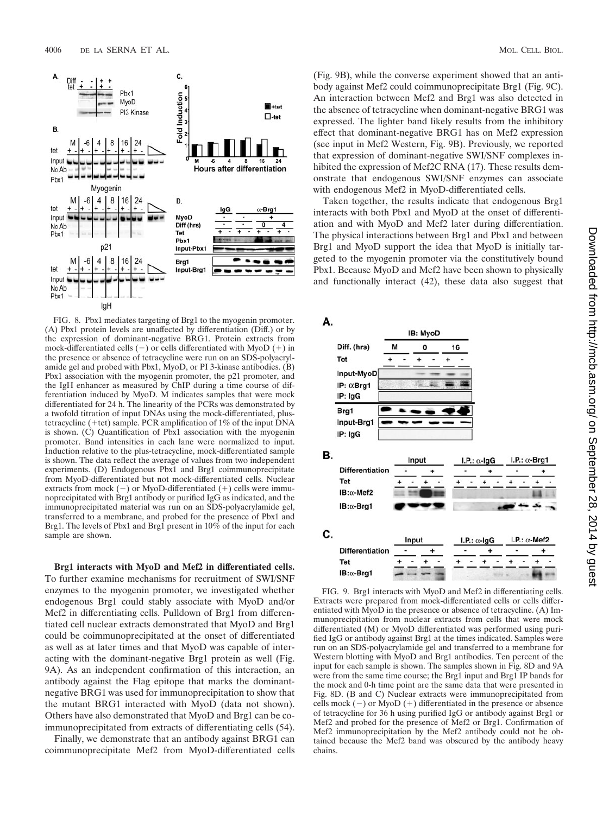

FIG. 8. Pbx1 mediates targeting of Brg1 to the myogenin promoter. (A) Pbx1 protein levels are unaffected by differentiation (Diff.) or by the expression of dominant-negative BRG1. Protein extracts from mock-differentiated cells  $(-)$  or cells differentiated with MyoD  $(+)$  in the presence or absence of tetracycline were run on an SDS-polyacrylamide gel and probed with Pbx1, MyoD, or PI 3-kinase antibodies. (B) Pbx1 association with the myogenin promoter, the p21 promoter, and the IgH enhancer as measured by ChIP during a time course of differentiation induced by MyoD. M indicates samples that were mock differentiated for 24 h. The linearity of the PCRs was demonstrated by a twofold titration of input DNAs using the mock-differentiated, plustetracycline (+tet) sample. PCR amplification of  $1\%$  of the input DNA is shown. (C) Quantification of Pbx1 association with the myogenin promoter. Band intensities in each lane were normalized to input. Induction relative to the plus-tetracycline, mock-differentiated sample is shown. The data reflect the average of values from two independent experiments. (D) Endogenous Pbx1 and Brg1 coimmunoprecipitate from MyoD-differentiated but not mock-differentiated cells. Nuclear extracts from mock  $(-)$  or MyoD-differentiated  $(+)$  cells were immunoprecipitated with Brg1 antibody or purified IgG as indicated, and the immunoprecipitated material was run on an SDS-polyacrylamide gel, transferred to a membrane, and probed for the presence of Pbx1 and Brg1. The levels of Pbx1 and Brg1 present in 10% of the input for each sample are shown.

**Brg1 interacts with MyoD and Mef2 in differentiated cells.** To further examine mechanisms for recruitment of SWI/SNF enzymes to the myogenin promoter, we investigated whether endogenous Brg1 could stably associate with MyoD and/or Mef2 in differentiating cells. Pulldown of Brg1 from differentiated cell nuclear extracts demonstrated that MyoD and Brg1 could be coimmunoprecipitated at the onset of differentiated as well as at later times and that MyoD was capable of interacting with the dominant-negative Brg1 protein as well (Fig. 9A). As an independent confirmation of this interaction, an antibody against the Flag epitope that marks the dominantnegative BRG1 was used for immunoprecipitation to show that the mutant BRG1 interacted with MyoD (data not shown). Others have also demonstrated that MyoD and Brg1 can be coimmunoprecipitated from extracts of differentiating cells (54).

Finally, we demonstrate that an antibody against BRG1 can coimmunoprecipitate Mef2 from MyoD-differentiated cells

(Fig. 9B), while the converse experiment showed that an antibody against Mef2 could coimmunoprecipitate Brg1 (Fig. 9C). An interaction between Mef2 and Brg1 was also detected in the absence of tetracycline when dominant-negative BRG1 was expressed. The lighter band likely results from the inhibitory effect that dominant-negative BRG1 has on Mef2 expression (see input in Mef2 Western, Fig. 9B). Previously, we reported that expression of dominant-negative SWI/SNF complexes inhibited the expression of Mef2C RNA (17). These results demonstrate that endogenous SWI/SNF enzymes can associate with endogenous Mef2 in MyoD-differentiated cells.

Taken together, the results indicate that endogenous Brg1 interacts with both Pbx1 and MyoD at the onset of differentiation and with MyoD and Mef2 later during differentiation. The physical interactions between Brg1 and Pbx1 and between Brg1 and MyoD support the idea that MyoD is initially targeted to the myogenin promoter via the constitutively bound Pbx1. Because MyoD and Mef2 have been shown to physically and functionally interact (42), these data also suggest that



FIG. 9. Brg1 interacts with MyoD and Mef2 in differentiating cells. Extracts were prepared from mock-differentiated cells or cells differentiated with MyoD in the presence or absence of tetracycline. (A) Immunoprecipitation from nuclear extracts from cells that were mock differentiated (M) or MyoD differentiated was performed using purified IgG or antibody against Brg1 at the times indicated. Samples were run on an SDS-polyacrylamide gel and transferred to a membrane for Western blotting with MyoD and Brg1 antibodies. Ten percent of the input for each sample is shown. The samples shown in Fig. 8D and 9A were from the same time course; the Brg1 input and Brg1 IP bands for the mock and 0-h time point are the same data that were presented in Fig. 8D. (B and C) Nuclear extracts were immunoprecipitated from cells mock  $(-)$  or MyoD  $(+)$  differentiated in the presence or absence of tetracycline for 36 h using purified IgG or antibody against Brg1 or Mef2 and probed for the presence of Mef2 or Brg1. Confirmation of Mef2 immunoprecipitation by the Mef2 antibody could not be obtained because the Mef2 band was obscured by the antibody heavy chains.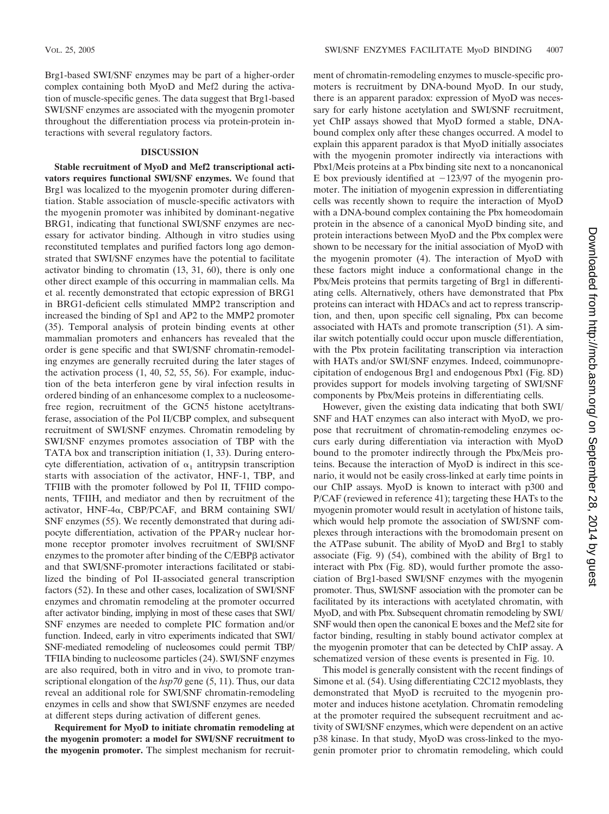Brg1-based SWI/SNF enzymes may be part of a higher-order complex containing both MyoD and Mef2 during the activation of muscle-specific genes. The data suggest that Brg1-based SWI/SNF enzymes are associated with the myogenin promoter throughout the differentiation process via protein-protein interactions with several regulatory factors.

#### **DISCUSSION**

**Stable recruitment of MyoD and Mef2 transcriptional activators requires functional SWI/SNF enzymes.** We found that Brg1 was localized to the myogenin promoter during differentiation. Stable association of muscle-specific activators with the myogenin promoter was inhibited by dominant-negative BRG1, indicating that functional SWI/SNF enzymes are necessary for activator binding. Although in vitro studies using reconstituted templates and purified factors long ago demonstrated that SWI/SNF enzymes have the potential to facilitate activator binding to chromatin (13, 31, 60), there is only one other direct example of this occurring in mammalian cells. Ma et al. recently demonstrated that ectopic expression of BRG1 in BRG1-deficient cells stimulated MMP2 transcription and increased the binding of Sp1 and AP2 to the MMP2 promoter (35). Temporal analysis of protein binding events at other mammalian promoters and enhancers has revealed that the order is gene specific and that SWI/SNF chromatin-remodeling enzymes are generally recruited during the later stages of the activation process (1, 40, 52, 55, 56). For example, induction of the beta interferon gene by viral infection results in ordered binding of an enhancesome complex to a nucleosomefree region, recruitment of the GCN5 histone acetyltransferase, association of the Pol II/CBP complex, and subsequent recruitment of SWI/SNF enzymes. Chromatin remodeling by SWI/SNF enzymes promotes association of TBP with the TATA box and transcription initiation (1, 33). During enterocyte differentiation, activation of  $\alpha_1$  antitrypsin transcription starts with association of the activator, HNF-1, TBP, and TFIIB with the promoter followed by Pol II, TFIID components, TFIIH, and mediator and then by recruitment of the activator, HNF-4 $\alpha$ , CBP/PCAF, and BRM containing SWI/ SNF enzymes (55). We recently demonstrated that during adipocyte differentiation, activation of the PPAR $\gamma$  nuclear hormone receptor promoter involves recruitment of SWI/SNF enzymes to the promoter after binding of the C/EBPB activator and that SWI/SNF-promoter interactions facilitated or stabilized the binding of Pol II-associated general transcription factors (52). In these and other cases, localization of SWI/SNF enzymes and chromatin remodeling at the promoter occurred after activator binding, implying in most of these cases that SWI/ SNF enzymes are needed to complete PIC formation and/or function. Indeed, early in vitro experiments indicated that SWI/ SNF-mediated remodeling of nucleosomes could permit TBP/ TFIIA binding to nucleosome particles (24). SWI/SNF enzymes are also required, both in vitro and in vivo, to promote transcriptional elongation of the *hsp70* gene (5, 11). Thus, our data reveal an additional role for SWI/SNF chromatin-remodeling enzymes in cells and show that SWI/SNF enzymes are needed at different steps during activation of different genes.

**Requirement for MyoD to initiate chromatin remodeling at the myogenin promoter: a model for SWI/SNF recruitment to the myogenin promoter.** The simplest mechanism for recruitment of chromatin-remodeling enzymes to muscle-specific promoters is recruitment by DNA-bound MyoD. In our study, there is an apparent paradox: expression of MyoD was necessary for early histone acetylation and SWI/SNF recruitment, yet ChIP assays showed that MyoD formed a stable, DNAbound complex only after these changes occurred. A model to explain this apparent paradox is that MyoD initially associates with the myogenin promoter indirectly via interactions with Pbx1/Meis proteins at a Pbx binding site next to a noncanonical E box previously identified at  $-123/97$  of the myogenin promoter. The initiation of myogenin expression in differentiating cells was recently shown to require the interaction of MyoD with a DNA-bound complex containing the Pbx homeodomain protein in the absence of a canonical MyoD binding site, and protein interactions between MyoD and the Pbx complex were shown to be necessary for the initial association of MyoD with the myogenin promoter (4). The interaction of MyoD with these factors might induce a conformational change in the Pbx/Meis proteins that permits targeting of Brg1 in differentiating cells. Alternatively, others have demonstrated that Pbx proteins can interact with HDACs and act to repress transcription, and then, upon specific cell signaling, Pbx can become associated with HATs and promote transcription (51). A similar switch potentially could occur upon muscle differentiation, with the Pbx protein facilitating transcription via interaction with HATs and/or SWI/SNF enzymes. Indeed, coimmunoprecipitation of endogenous Brg1 and endogenous Pbx1 (Fig. 8D) provides support for models involving targeting of SWI/SNF components by Pbx/Meis proteins in differentiating cells.

However, given the existing data indicating that both SWI/ SNF and HAT enzymes can also interact with MyoD, we propose that recruitment of chromatin-remodeling enzymes occurs early during differentiation via interaction with MyoD bound to the promoter indirectly through the Pbx/Meis proteins. Because the interaction of MyoD is indirect in this scenario, it would not be easily cross-linked at early time points in our ChIP assays. MyoD is known to interact with p300 and P/CAF (reviewed in reference 41); targeting these HATs to the myogenin promoter would result in acetylation of histone tails, which would help promote the association of SWI/SNF complexes through interactions with the bromodomain present on the ATPase subunit. The ability of MyoD and Brg1 to stably associate (Fig. 9) (54), combined with the ability of Brg1 to interact with Pbx (Fig. 8D), would further promote the association of Brg1-based SWI/SNF enzymes with the myogenin promoter. Thus, SWI/SNF association with the promoter can be facilitated by its interactions with acetylated chromatin, with MyoD, and with Pbx. Subsequent chromatin remodeling by SWI/ SNF would then open the canonical E boxes and the Mef2 site for factor binding, resulting in stably bound activator complex at the myogenin promoter that can be detected by ChIP assay. A schematized version of these events is presented in Fig. 10.

This model is generally consistent with the recent findings of Simone et al. (54). Using differentiating C2C12 myoblasts, they demonstrated that MyoD is recruited to the myogenin promoter and induces histone acetylation. Chromatin remodeling at the promoter required the subsequent recruitment and activity of SWI/SNF enzymes, which were dependent on an active p38 kinase. In that study, MyoD was cross-linked to the myogenin promoter prior to chromatin remodeling, which could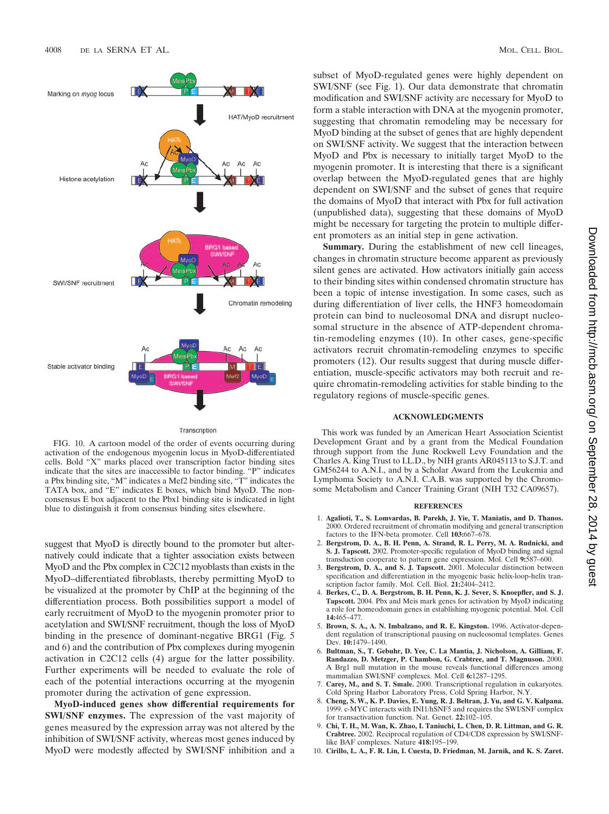

#### Transcription

FIG. 10. A cartoon model of the order of events occurring during activation of the endogenous myogenin locus in MyoD-differentiated cells. Bold "X" marks placed over transcription factor binding sites indicate that the sites are inaccessible to factor binding. "P" indicates a Pbx binding site, "M" indicates a Mef2 binding site, "T" indicates the TATA box, and "E" indicates E boxes, which bind MyoD. The nonconsensus E box adjacent to the Pbx1 binding site is indicated in light blue to distinguish it from consensus binding sites elsewhere.

suggest that MyoD is directly bound to the promoter but alternatively could indicate that a tighter association exists between MyoD and the Pbx complex in C2C12 myoblasts than exists in the MyoD–differentiated fibroblasts, thereby permitting MyoD to be visualized at the promoter by ChIP at the beginning of the differentiation process. Both possibilities support a model of early recruitment of MyoD to the myogenin promoter prior to acetylation and SWI/SNF recruitment, though the loss of MyoD binding in the presence of dominant-negative BRG1 (Fig. 5 and 6) and the contribution of Pbx complexes during myogenin activation in C2C12 cells (4) argue for the latter possibility. Further experiments will be needed to evaluate the role of each of the potential interactions occurring at the myogenin promoter during the activation of gene expression.

**MyoD-induced genes show differential requirements for SWI/SNF enzymes.** The expression of the vast majority of genes measured by the expression array was not altered by the inhibition of SWI/SNF activity, whereas most genes induced by MyoD were modestly affected by SWI/SNF inhibition and a subset of MyoD-regulated genes were highly dependent on SWI/SNF (see Fig. 1). Our data demonstrate that chromatin modification and SWI/SNF activity are necessary for MyoD to form a stable interaction with DNA at the myogenin promoter, suggesting that chromatin remodeling may be necessary for MyoD binding at the subset of genes that are highly dependent on SWI/SNF activity. We suggest that the interaction between MyoD and Pbx is necessary to initially target MyoD to the myogenin promoter. It is interesting that there is a significant overlap between the MyoD-regulated genes that are highly dependent on SWI/SNF and the subset of genes that require the domains of MyoD that interact with Pbx for full activation (unpublished data), suggesting that these domains of MyoD might be necessary for targeting the protein to multiple different promoters as an initial step in gene activation.

**Summary.** During the establishment of new cell lineages, changes in chromatin structure become apparent as previously silent genes are activated. How activators initially gain access to their binding sites within condensed chromatin structure has been a topic of intense investigation. In some cases, such as during differentiation of liver cells, the HNF3 homeodomain protein can bind to nucleosomal DNA and disrupt nucleosomal structure in the absence of ATP-dependent chromatin-remodeling enzymes (10). In other cases, gene-specific activators recruit chromatin-remodeling enzymes to specific promoters (12). Our results suggest that during muscle differentiation, muscle-specific activators may both recruit and require chromatin-remodeling activities for stable binding to the regulatory regions of muscle-specific genes.

#### **ACKNOWLEDGMENTS**

This work was funded by an American Heart Association Scientist Development Grant and by a grant from the Medical Foundation through support from the June Rockwell Levy Foundation and the Charles A. King Trust to I.L.D., by NIH grants AR045113 to S.J.T. and GM56244 to A.N.I., and by a Scholar Award from the Leukemia and Lymphoma Society to A.N.I. C.A.B. was supported by the Chromosome Metabolism and Cancer Training Grant (NIH T32 CA09657).

#### **REFERENCES**

- 1. **Agalioti, T., S. Lomvardas, B. Parekh, J. Yie, T. Maniatis, and D. Thanos.** 2000. Ordered recruitment of chromatin modifying and general transcription factors to the IFN-beta promoter. Cell **103:**667–678.
- 2. **Bergstrom, D. A., B. H. Penn, A. Strand, R. L. Perry, M. A. Rudnicki, and S. J. Tapscott.** 2002. Promoter-specific regulation of MyoD binding and signal transduction cooperate to pattern gene expression. Mol. Cell **9:**587–600.
- 3. **Bergstrom, D. A., and S. J. Tapscott.** 2001. Molecular distinction between specification and differentiation in the myogenic basic helix-loop-helix transcription factor family. Mol. Cell. Biol. **21:**2404–2412.
- 4. **Berkes, C., D. A. Bergstrom, B. H. Penn, K. J. Sever, S. Knoepfler, and S. J. Tapscott.** 2004. Pbx and Meis mark genes for activation by MyoD indicating a role for homeodomain genes in establishing myogenic potential. Mol. Cell **14:**465–477.
- 5. **Brown, S. A., A. N. Imbalzano, and R. E. Kingston.** 1996. Activator-dependent regulation of transcriptional pausing on nucleosomal templates. Genes Dev. **10:**1479–1490.
- 6. **Bultman, S., T. Gebuhr, D. Yee, C. La Mantia, J. Nicholson, A. Gilliam, F. Randazzo, D. Metzger, P. Chambon, G. Crabtree, and T. Magnuson.** 2000. A Brg1 null mutation in the mouse reveals functional differences among mammalian SWI/SNF complexes. Mol. Cell **6:**1287–1295.
- 7. **Carey, M., and S. T. Smale.** 2000. Transcriptional regulation in eukaryotes. Cold Spring Harbor Laboratory Press, Cold Spring Harbor, N.Y.
- 8. **Cheng, S. W., K. P. Davies, E. Yung, R. J. Beltran, J. Yu, and G. V. Kalpana.** 1999. c-MYC interacts with INI1/hSNF5 and requires the SWI/SNF complex for transactivation function. Nat. Genet. **22:**102–105.
- 9. **Chi, T. H., M. Wan, K. Zhao, I. Taniuchi, L. Chen, D. R. Littman, and G. R. Crabtree.** 2002. Reciprocal regulation of CD4/CD8 expression by SWI/SNFlike BAF complexes. Nature **418:**195–199.
- 10. **Cirillo, L. A., F. R. Lin, I. Cuesta, D. Friedman, M. Jarnik, and K. S. Zaret.**